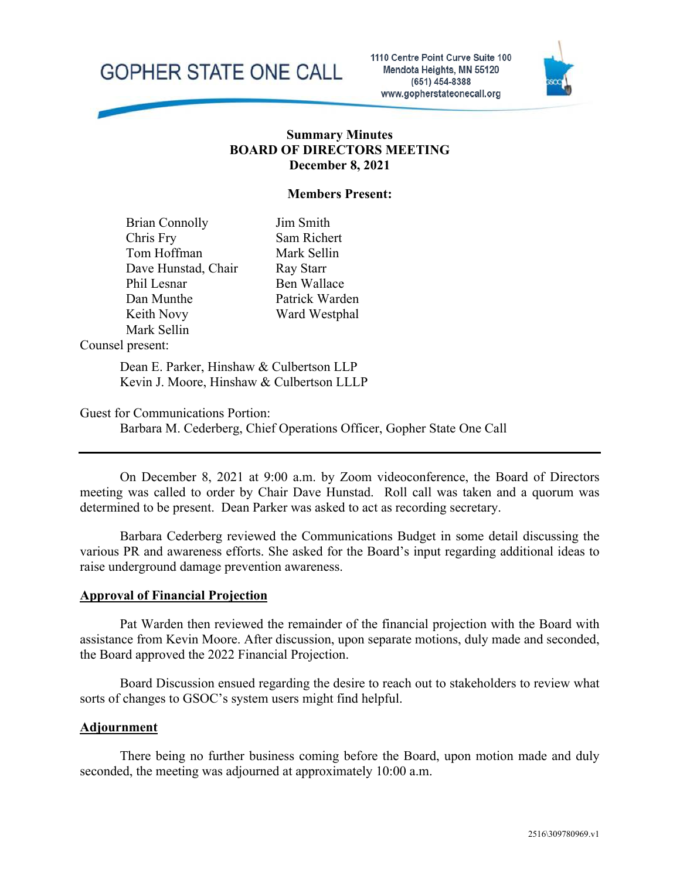

1110 Centre Point Curve Suite 100 Mendota Heights, MN 55120 (651) 454-8388 www.gopherstateonecall.org



## **Summary Minutes BOARD OF DIRECTORS MEETING December 8, 2021**

### **Members Present:**

Brian Connolly Chris Fry Tom Hoffman Dave Hunstad, Chair Phil Lesnar Dan Munthe Keith Novy Mark Sellin

Jim Smith Sam Richert Mark Sellin Ray Starr Ben Wallace Patrick Warden Ward Westphal

#### Counsel present:

Dean E. Parker, Hinshaw & Culbertson LLP Kevin J. Moore, Hinshaw & Culbertson LLLP

Guest for Communications Portion:

Barbara M. Cederberg, Chief Operations Officer, Gopher State One Call

On December 8, 2021 at 9:00 a.m. by Zoom videoconference, the Board of Directors meeting was called to order by Chair Dave Hunstad. Roll call was taken and a quorum was determined to be present. Dean Parker was asked to act as recording secretary.

Barbara Cederberg reviewed the Communications Budget in some detail discussing the various PR and awareness efforts. She asked for the Board's input regarding additional ideas to raise underground damage prevention awareness.

#### **Approval of Financial Projection**

Pat Warden then reviewed the remainder of the financial projection with the Board with assistance from Kevin Moore. After discussion, upon separate motions, duly made and seconded, the Board approved the 2022 Financial Projection.

Board Discussion ensued regarding the desire to reach out to stakeholders to review what sorts of changes to GSOC's system users might find helpful.

#### **Adjournment**

There being no further business coming before the Board, upon motion made and duly seconded, the meeting was adjourned at approximately 10:00 a.m.